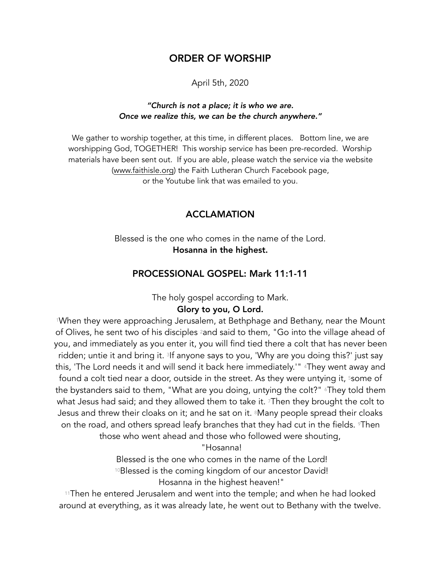# ORDER OF WORSHIP

April 5th, 2020

## *"Church is not a place; it is who we are. Once we realize this, we can be the church anywhere."*

We gather to worship together, at this time, in different places. Bottom line, we are worshipping God, TOGETHER! This worship service has been pre-recorded. Worship materials have been sent out. If you are able, please watch the service via the website ([www.faithisle.org](http://www.faithisle.org)) the Faith Lutheran Church Facebook page, or the Youtube link that was emailed to you.

# ACCLAMATION

Blessed is the one who comes in the name of the Lord. Hosanna in the highest.

## PROCESSIONAL GOSPEL: Mark 11:1-11

The holy gospel according to Mark.

# Glory to you, O Lord.

1When they were approaching Jerusalem, at Bethphage and Bethany, near the Mount of Olives, he sent two of his disciples <sup>2</sup>and said to them, "Go into the village ahead of you, and immediately as you enter it, you will find tied there a colt that has never been ridden; untie it and bring it. 3If anyone says to you, 'Why are you doing this?' just say this, 'The Lord needs it and will send it back here immediately.'" <sup>4</sup>They went away and found a colt tied near a door, outside in the street. As they were untying it, <sup>5</sup>some of the bystanders said to them, "What are you doing, untying the colt?" <sup>6</sup>They told them what Jesus had said; and they allowed them to take it. 7Then they brought the colt to Jesus and threw their cloaks on it; and he sat on it. 8Many people spread their cloaks on the road, and others spread leafy branches that they had cut in the fields. *Then* those who went ahead and those who followed were shouting,

"Hosanna!

Blessed is the one who comes in the name of the Lord! 10Blessed is the coming kingdom of our ancestor David! Hosanna in the highest heaven!"

11Then he entered Jerusalem and went into the temple; and when he had looked around at everything, as it was already late, he went out to Bethany with the twelve.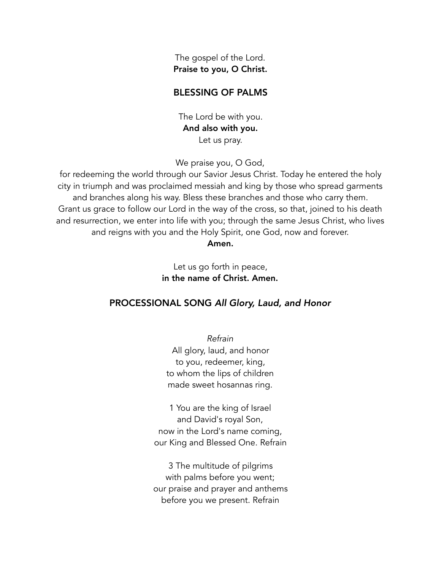The gospel of the Lord. Praise to you, O Christ.

# BLESSING OF PALMS

The Lord be with you. And also with you. Let us pray.

We praise you, O God,

for redeeming the world through our Savior Jesus Christ. Today he entered the holy city in triumph and was proclaimed messiah and king by those who spread garments and branches along his way. Bless these branches and those who carry them. Grant us grace to follow our Lord in the way of the cross, so that, joined to his death and resurrection, we enter into life with you; through the same Jesus Christ, who lives and reigns with you and the Holy Spirit, one God, now and forever.

#### Amen.

Let us go forth in peace, in the name of Christ. Amen.

# PROCESSIONAL SONG *All Glory, Laud, and Honor*

*Refrain* All glory, laud, and honor to you, redeemer, king, to whom the lips of children made sweet hosannas ring.

1 You are the king of Israel and David's royal Son, now in the Lord's name coming, our King and Blessed One. Refrain

3 The multitude of pilgrims with palms before you went; our praise and prayer and anthems before you we present. Refrain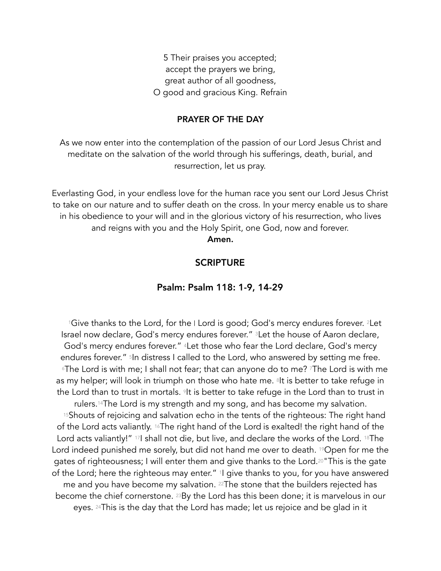5 Their praises you accepted; accept the prayers we bring, great author of all goodness, O good and gracious King. Refrain

## PRAYER OF THE DAY

As we now enter into the contemplation of the passion of our Lord Jesus Christ and meditate on the salvation of the world through his sufferings, death, burial, and resurrection, let us pray.

Everlasting God, in your endless love for the human race you sent our Lord Jesus Christ to take on our nature and to suffer death on the cross. In your mercy enable us to share in his obedience to your will and in the glorious victory of his resurrection, who lives and reigns with you and the Holy Spirit, one God, now and forever. Amen.

## **SCRIPTURE**

## Psalm: Psalm 118: 1-9, 14-29

1Give thanks to the Lord, for the I Lord is good; God's mercy endures forever. <sup>2</sup>Let Israel now declare, God's mercy endures forever." <sup>3</sup>Let the house of Aaron declare, God's mercy endures forever." 4Let those who fear the Lord declare, God's mercy endures forever." <sup>5</sup>In distress I called to the Lord, who answered by setting me free. 6The Lord is with me; I shall not fear; that can anyone do to me? 7The Lord is with me as my helper; will look in triumph on those who hate me. <sup>8</sup>It is better to take refuge in the Lord than to trust in mortals. <sup>9</sup>It is better to take refuge in the Lord than to trust in rulers.14The Lord is my strength and my song, and has become my salvation. <sup>15</sup>Shouts of rejoicing and salvation echo in the tents of the righteous: The right hand of the Lord acts valiantly. 16The right hand of the Lord is exalted! the right hand of the Lord acts valiantly!" 17I shall not die, but live, and declare the works of the Lord. 18The Lord indeed punished me sorely, but did not hand me over to death. <sup>19</sup>Open for me the gates of righteousness; I will enter them and give thanks to the Lord.20"This is the gate of the Lord; here the righteous may enter." 1I give thanks to you, for you have answered me and you have become my salvation. <sup>22</sup>The stone that the builders rejected has become the chief cornerstone. 23By the Lord has this been done; it is marvelous in our eyes. 24This is the day that the Lord has made; let us rejoice and be glad in it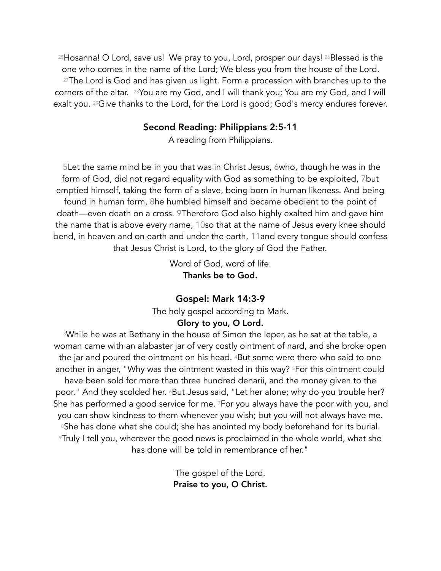25Hosanna! O Lord, save us! We pray to you, Lord, prosper our days! 26Blessed is the one who comes in the name of the Lord; We bless you from the house of the Lord. 27The Lord is God and has given us light. Form a procession with branches up to the corners of the altar. 28You are my God, and I will thank you; You are my God, and I will exalt you. <sup>29</sup> Give thanks to the Lord, for the Lord is good; God's mercy endures forever.

# Second Reading: Philippians 2:5-11

A reading from Philippians.

5Let the same mind be in you that was in Christ Jesus, 6who, though he was in the form of God, did not regard equality with God as something to be exploited, 7but emptied himself, taking the form of a slave, being born in human likeness. And being found in human form, 8he humbled himself and became obedient to the point of death—even death on a cross. 9Therefore God also highly exalted him and gave him the name that is above every name, 10so that at the name of Jesus every knee should bend, in heaven and on earth and under the earth, 11and every tongue should confess that Jesus Christ is Lord, to the glory of God the Father.

> Word of God, word of life. Thanks be to God.

# Gospel: Mark 14:3-9

The holy gospel according to Mark.

# Glory to you, O Lord.

3While he was at Bethany in the house of Simon the leper, as he sat at the table, a woman came with an alabaster jar of very costly ointment of nard, and she broke open the jar and poured the ointment on his head. 4But some were there who said to one another in anger, "Why was the ointment wasted in this way? 5For this ointment could have been sold for more than three hundred denarii, and the money given to the poor." And they scolded her. 6But Jesus said, "Let her alone; why do you trouble her? She has performed a good service for me. 7For you always have the poor with you, and you can show kindness to them whenever you wish; but you will not always have me. <sup>8</sup>She has done what she could; she has anointed my body beforehand for its burial. 9Truly I tell you, wherever the good news is proclaimed in the whole world, what she has done will be told in remembrance of her."

> The gospel of the Lord. Praise to you, O Christ.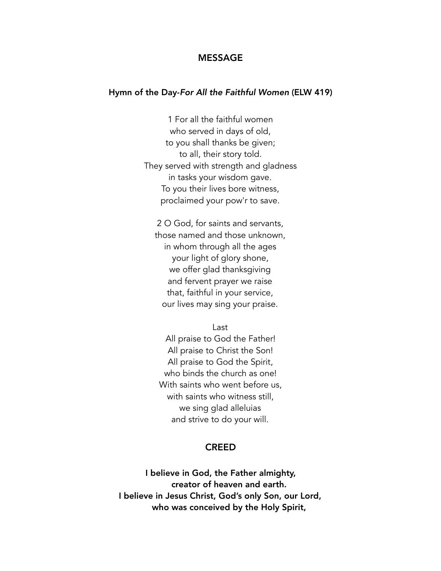#### MESSAGE

#### Hymn of the Day-*For All the Faithful Women* (ELW 419)

1 For all the faithful women who served in days of old, to you shall thanks be given; to all, their story told. They served with strength and gladness in tasks your wisdom gave. To you their lives bore witness, proclaimed your pow'r to save.

2 O God, for saints and servants, those named and those unknown, in whom through all the ages your light of glory shone, we offer glad thanksgiving and fervent prayer we raise that, faithful in your service, our lives may sing your praise.

Last

All praise to God the Father! All praise to Christ the Son! All praise to God the Spirit, who binds the church as one! With saints who went before us, with saints who witness still, we sing glad alleluias and strive to do your will.

#### CREED

I believe in God, the Father almighty, creator of heaven and earth. I believe in Jesus Christ, God's only Son, our Lord, who was conceived by the Holy Spirit,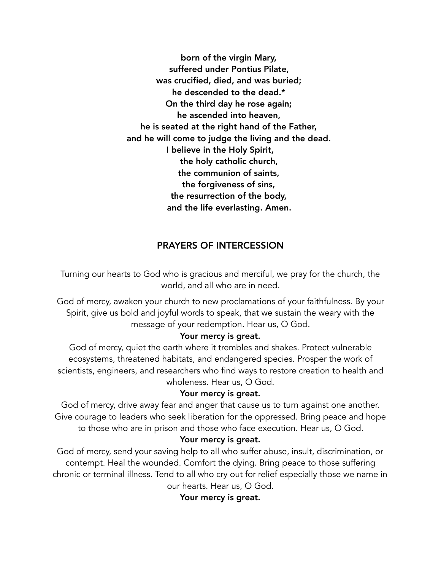born of the virgin Mary, suffered under Pontius Pilate, was crucified, died, and was buried; he descended to the dead.\* On the third day he rose again; he ascended into heaven, he is seated at the right hand of the Father, and he will come to judge the living and the dead. I believe in the Holy Spirit, the holy catholic church, the communion of saints, the forgiveness of sins, the resurrection of the body, and the life everlasting. Amen.

# PRAYERS OF INTERCESSION

Turning our hearts to God who is gracious and merciful, we pray for the church, the world, and all who are in need.

God of mercy, awaken your church to new proclamations of your faithfulness. By your Spirit, give us bold and joyful words to speak, that we sustain the weary with the message of your redemption. Hear us, O God.

#### Your mercy is great.

God of mercy, quiet the earth where it trembles and shakes. Protect vulnerable ecosystems, threatened habitats, and endangered species. Prosper the work of scientists, engineers, and researchers who find ways to restore creation to health and wholeness. Hear us, O God.

#### Your mercy is great.

God of mercy, drive away fear and anger that cause us to turn against one another. Give courage to leaders who seek liberation for the oppressed. Bring peace and hope to those who are in prison and those who face execution. Hear us, O God.

#### Your mercy is great.

God of mercy, send your saving help to all who suffer abuse, insult, discrimination, or contempt. Heal the wounded. Comfort the dying. Bring peace to those suffering chronic or terminal illness. Tend to all who cry out for relief especially those we name in our hearts. Hear us, O God.

Your mercy is great.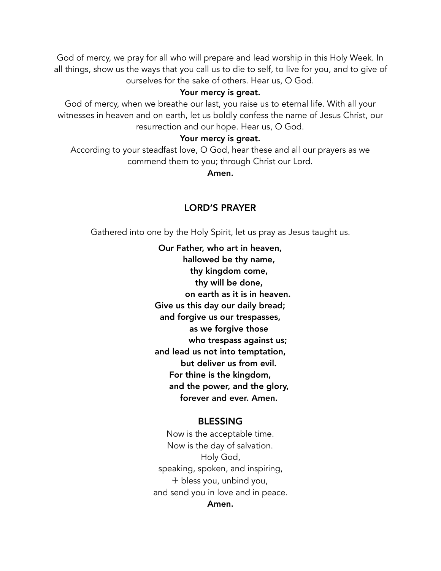God of mercy, we pray for all who will prepare and lead worship in this Holy Week. In all things, show us the ways that you call us to die to self, to live for you, and to give of ourselves for the sake of others. Hear us, O God.

## Your mercy is great.

God of mercy, when we breathe our last, you raise us to eternal life. With all your witnesses in heaven and on earth, let us boldly confess the name of Jesus Christ, our resurrection and our hope. Hear us, O God.

## Your mercy is great.

According to your steadfast love, O God, hear these and all our prayers as we commend them to you; through Christ our Lord.

Amen.

## LORD'S PRAYER

Gathered into one by the Holy Spirit, let us pray as Jesus taught us.

Our Father, who art in heaven, hallowed be thy name, thy kingdom come, thy will be done, on earth as it is in heaven. Give us this day our daily bread; and forgive us our trespasses, as we forgive those who trespass against us; and lead us not into temptation, but deliver us from evil. For thine is the kingdom, and the power, and the glory, forever and ever. Amen.

## BLESSING

Now is the acceptable time. Now is the day of salvation. Holy God, speaking, spoken, and inspiring,  $+$  bless you, unbind you, and send you in love and in peace. Amen.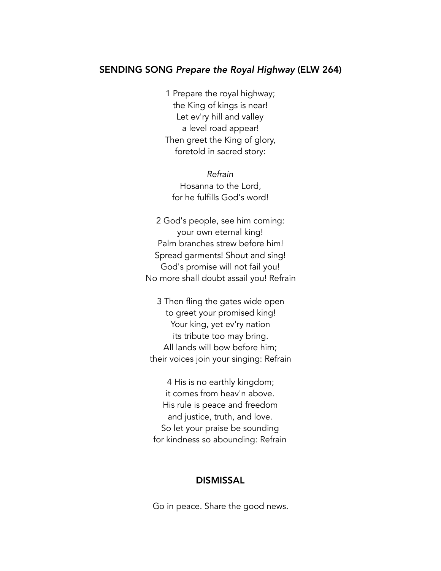# SENDING SONG *Prepare the Royal Highway* (ELW 264)

1 Prepare the royal highway; the King of kings is near! Let ev'ry hill and valley a level road appear! Then greet the King of glory, foretold in sacred story:

*Refrain* Hosanna to the Lord, for he fulfills God's word!

2 God's people, see him coming: your own eternal king! Palm branches strew before him! Spread garments! Shout and sing! God's promise will not fail you! No more shall doubt assail you! Refrain

3 Then fling the gates wide open to greet your promised king! Your king, yet ev'ry nation its tribute too may bring. All lands will bow before him; their voices join your singing: Refrain

4 His is no earthly kingdom; it comes from heav'n above. His rule is peace and freedom and justice, truth, and love. So let your praise be sounding for kindness so abounding: Refrain

## **DISMISSAL**

Go in peace. Share the good news.